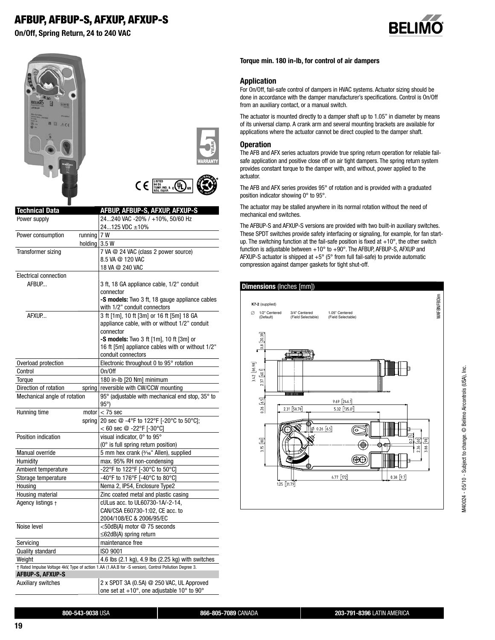# **AFBUP, AFBUP-S, AFXUP, AFXUP-S**

**On/Off, Spring Return, 24 to 240 VAC**









| <b>Technical Data</b>           | <b>AFBUP, AFBUP-S, AFXUP, AFXUP-S</b>                                                                 |
|---------------------------------|-------------------------------------------------------------------------------------------------------|
| Power supply                    | 24240 VAC -20% / +10%, 50/60 Hz                                                                       |
|                                 | 24125 VDC ±10%                                                                                        |
| Power consumption<br>running    | 7 W                                                                                                   |
| holding                         | 3.5W                                                                                                  |
| Transformer sizing              | 7 VA @ 24 VAC (class 2 power source)                                                                  |
|                                 | 8.5 VA @ 120 VAC                                                                                      |
|                                 | 18 VA @ 240 VAC                                                                                       |
| <b>Electrical connection</b>    |                                                                                                       |
| AFBUP                           | 3 ft, 18 GA appliance cable, 1/2" conduit                                                             |
|                                 | connector                                                                                             |
|                                 | -S models: Two 3 ft, 18 gauge appliance cables                                                        |
|                                 | with 1/2" conduit connectors                                                                          |
| AFXUP                           | 3 ft [1m], 10 ft [3m] or 16 ft [5m] 18 GA                                                             |
|                                 | appliance cable, with or without 1/2" conduit                                                         |
|                                 | connector                                                                                             |
|                                 | -S models: Two 3 ft [1m], 10 ft [3m] or                                                               |
|                                 | 16 ft [5m] appliance cables with or without 1/2"                                                      |
|                                 | conduit connectors                                                                                    |
| Overload protection             | Electronic throughout 0 to 95° rotation                                                               |
| Control                         | On/Off                                                                                                |
| Torque                          | 180 in-lb [20 Nm] minimum                                                                             |
| Direction of rotation<br>spring | reversible with CW/CCW mounting                                                                       |
| Mechanical angle of rotation    | 95° (adjustable with mechanical end stop, 35° to<br>$95^{\circ}$ )                                    |
| Running time                    | motor $< 75$ sec                                                                                      |
| spring                          | 20 sec @ -4°F to 122°F [-20°C to 50°C];                                                               |
|                                 | $< 60$ sec @ -22°F [-30°C]                                                                            |
| Position indication             | visual indicator, 0° to 95°                                                                           |
|                                 | (0° is full spring return position)                                                                   |
| Manual override                 | 5 mm hex crank (3/16" Allen), supplied                                                                |
| Humidity                        | max. 95% RH non-condensing                                                                            |
| Ambient temperature             | -22°F to 122°F [-30°C to 50°C]                                                                        |
| Storage temperature             | -40°F to 176°F [-40°C to 80°C]                                                                        |
| Housing                         | Nema 2, IP54, Enclosure Type2                                                                         |
| Housing material                | Zinc coated metal and plastic casing                                                                  |
| Agency listings +               | cULus acc. to UL60730-1A/-2-14,                                                                       |
|                                 | CAN/CSA E60730-1:02, CE acc. to                                                                       |
|                                 | 2004/108/EC & 2006/95/EC                                                                              |
| Noise level                     | <50dB(A) motor @ 75 seconds                                                                           |
|                                 | ≤62dB(A) spring return                                                                                |
| Servicing                       | maintenance free                                                                                      |
| <b>Quality standard</b>         | ISO 9001                                                                                              |
| Weight                          | 4.6 lbs (2.1 kg), 4.9 lbs (2.25 kg) with switches                                                     |
|                                 | † Rated Impulse Voltage 4kV, Type of action 1.AA (1.AA.B for -S version), Control Pollution Degree 3. |
| <b>AFBUP-S, AFXUP-S</b>         |                                                                                                       |
| Auxiliary switches              | 2 x SPDT 3A (0.5A) @ 250 VAC, UL Approved                                                             |
|                                 | one set at +10°, one adjustable 10° to 90°                                                            |

#### **Torque min. 180 in-lb, for control of air dampers**

#### **Application**

For On/Off, fail-safe control of dampers in HVAC systems. Actuator sizing should be done in accordance with the damper manufacturer's specifications. Control is On/Off from an auxiliary contact, or a manual switch.

The actuator is mounted directly to a damper shaft up to 1.05" in diameter by means of its universal clamp. A crank arm and several mounting brackets are available for applications where the actuator cannot be direct coupled to the damper shaft.

#### **Operation**

The AFB and AFX series actuators provide true spring return operation for reliable failsafe application and positive close off on air tight dampers. The spring return system provides constant torque to the damper with, and without, power applied to the actuator.

The AFB and AFX series provides 95° of rotation and is provided with a graduated position indicator showing 0° to 95°.

The actuator may be stalled anywhere in its normal rotation without the need of mechanical end switches.

The AFBUP-S and AFXUP-S versions are provided with two built-in auxiliary switches. These SPDT switches provide safety interfacing or signaling, for example, for fan startup. The switching function at the fail-safe position is fixed at  $+10^{\circ}$ , the other switch function is adjustable between +10° to +90°. The AFBUP, AFBUP-S, AFXUP and AFXUP-S actuator is shipped at +5° (5° from full fail-safe) to provide automatic compression against damper gaskets for tight shut-off.